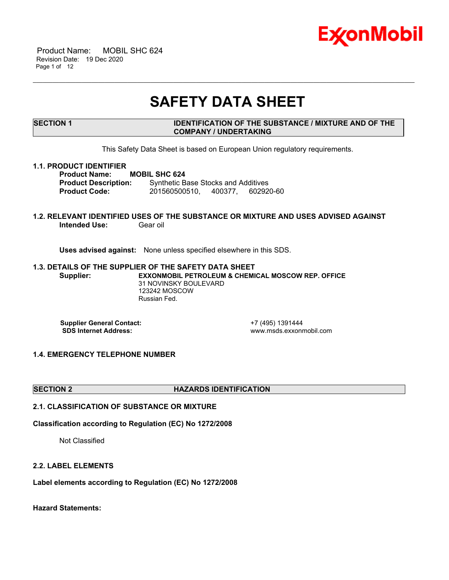

 Product Name: MOBIL SHC 624 Revision Date: 19 Dec 2020 Page 1 of 12

# **SAFETY DATA SHEET**

\_\_\_\_\_\_\_\_\_\_\_\_\_\_\_\_\_\_\_\_\_\_\_\_\_\_\_\_\_\_\_\_\_\_\_\_\_\_\_\_\_\_\_\_\_\_\_\_\_\_\_\_\_\_\_\_\_\_\_\_\_\_\_\_\_\_\_\_\_\_\_\_\_\_\_\_\_\_\_\_\_\_\_\_\_\_\_\_\_\_\_\_\_\_\_\_\_\_\_\_\_\_\_\_\_\_\_\_\_\_\_\_\_\_\_\_\_

# **SECTION 1 IDENTIFICATION OF THE SUBSTANCE / MIXTURE AND OF THE COMPANY / UNDERTAKING**

This Safety Data Sheet is based on European Union regulatory requirements.

#### **1.1. PRODUCT IDENTIFIER**

**Product Name: MOBIL SHC 624 Product Description:** Synthetic Base Stocks and Additives **Product Code:** 201560500510, 400377, 602920-60

# **1.2. RELEVANT IDENTIFIED USES OF THE SUBSTANCE OR MIXTURE AND USES ADVISED AGAINST Intended Use: Gear oil**

**Uses advised against:** None unless specified elsewhere in this SDS.

#### **1.3. DETAILS OF THE SUPPLIER OF THE SAFETY DATA SHEET Supplier: EXXONMOBIL PETROLEUM & CHEMICAL MOSCOW REP. OFFICE** 31 NOVINSKY BOULEVARD 123242 MOSCOW Russian Fed.

**Supplier General Contact:** +7 (495) 1391444<br> **SDS Internet Address:** + +7 (495) www.msds.exxonr

 **SDS Internet Address:** www.msds.exxonmobil.com

# **1.4. EMERGENCY TELEPHONE NUMBER**

#### **SECTION 2 HAZARDS IDENTIFICATION**

# **2.1. CLASSIFICATION OF SUBSTANCE OR MIXTURE**

**Classification according to Regulation (EC) No 1272/2008**

Not Classified

#### **2.2. LABEL ELEMENTS**

**Label elements according to Regulation (EC) No 1272/2008**

**Hazard Statements:**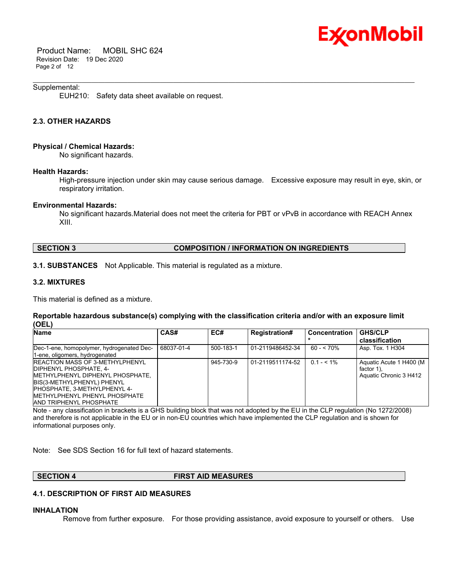

 Product Name: MOBIL SHC 624 Revision Date: 19 Dec 2020 Page 2 of 12

#### Supplemental:

EUH210: Safety data sheet available on request.

# **2.3. OTHER HAZARDS**

#### **Physical / Chemical Hazards:**

No significant hazards.

#### **Health Hazards:**

High-pressure injection under skin may cause serious damage. Excessive exposure may result in eye, skin, or respiratory irritation.

\_\_\_\_\_\_\_\_\_\_\_\_\_\_\_\_\_\_\_\_\_\_\_\_\_\_\_\_\_\_\_\_\_\_\_\_\_\_\_\_\_\_\_\_\_\_\_\_\_\_\_\_\_\_\_\_\_\_\_\_\_\_\_\_\_\_\_\_\_\_\_\_\_\_\_\_\_\_\_\_\_\_\_\_\_\_\_\_\_\_\_\_\_\_\_\_\_\_\_\_\_\_\_\_\_\_\_\_\_\_\_\_\_\_\_\_\_

#### **Environmental Hazards:**

No significant hazards.Material does not meet the criteria for PBT or vPvB in accordance with REACH Annex XIII.

# **SECTION 3 COMPOSITION / INFORMATION ON INGREDIENTS**

**3.1. SUBSTANCES** Not Applicable. This material is regulated as a mixture.

### **3.2. MIXTURES**

This material is defined as a mixture.

#### **Reportable hazardous substance(s) complying with the classification criteria and/or with an exposure limit (OEL)**

| <b>Name</b>                               | CAS#       | EC#       | <b>Registration#</b> | <b>Concentration</b> | <b>GHS/CLP</b>           |
|-------------------------------------------|------------|-----------|----------------------|----------------------|--------------------------|
|                                           |            |           |                      |                      | classification           |
| Dec-1-ene, homopolymer, hydrogenated Dec- | 68037-01-4 | 500-183-1 | 01-2119486452-34     | $60 - 570%$          | Asp. Tox. 1 H304         |
| 1-ene, oligomers, hydrogenated            |            |           |                      |                      |                          |
| <b>IREACTION MASS OF 3-METHYLPHENYL</b>   |            | 945-730-9 | 01-2119511174-52     | $0.1 - 5.1\%$        | Aquatic Acute 1 H400 (M) |
| <b>IDIPHENYL PHOSPHATE, 4-</b>            |            |           |                      |                      | factor 1).               |
| <b>IMETHYLPHENYL DIPHENYL PHOSPHATE,</b>  |            |           |                      |                      | Aquatic Chronic 3 H412   |
| BIS(3-METHYLPHENYL) PHENYL                |            |           |                      |                      |                          |
| <b>PHOSPHATE, 3-METHYLPHENYL 4-</b>       |            |           |                      |                      |                          |
| <b>IMETHYLPHENYL PHENYL PHOSPHATE</b>     |            |           |                      |                      |                          |
| IAND TRIPHENYL PHOSPHATE                  |            |           |                      |                      |                          |

Note - any classification in brackets is a GHS building block that was not adopted by the EU in the CLP regulation (No 1272/2008) and therefore is not applicable in the EU or in non-EU countries which have implemented the CLP regulation and is shown for informational purposes only.

Note: See SDS Section 16 for full text of hazard statements.

# **SECTION 4 FIRST AID MEASURES**

#### **4.1. DESCRIPTION OF FIRST AID MEASURES**

#### **INHALATION**

Remove from further exposure. For those providing assistance, avoid exposure to yourself or others. Use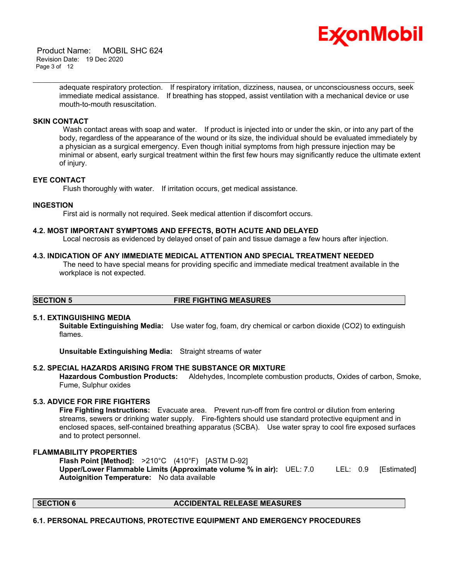

 Product Name: MOBIL SHC 624 Revision Date: 19 Dec 2020 Page 3 of 12

> adequate respiratory protection. If respiratory irritation, dizziness, nausea, or unconsciousness occurs, seek immediate medical assistance. If breathing has stopped, assist ventilation with a mechanical device or use mouth-to-mouth resuscitation.

\_\_\_\_\_\_\_\_\_\_\_\_\_\_\_\_\_\_\_\_\_\_\_\_\_\_\_\_\_\_\_\_\_\_\_\_\_\_\_\_\_\_\_\_\_\_\_\_\_\_\_\_\_\_\_\_\_\_\_\_\_\_\_\_\_\_\_\_\_\_\_\_\_\_\_\_\_\_\_\_\_\_\_\_\_\_\_\_\_\_\_\_\_\_\_\_\_\_\_\_\_\_\_\_\_\_\_\_\_\_\_\_\_\_\_\_\_

# **SKIN CONTACT**

Wash contact areas with soap and water. If product is injected into or under the skin, or into any part of the body, regardless of the appearance of the wound or its size, the individual should be evaluated immediately by a physician as a surgical emergency. Even though initial symptoms from high pressure injection may be minimal or absent, early surgical treatment within the first few hours may significantly reduce the ultimate extent of injury.

## **EYE CONTACT**

Flush thoroughly with water. If irritation occurs, get medical assistance.

#### **INGESTION**

First aid is normally not required. Seek medical attention if discomfort occurs.

#### **4.2. MOST IMPORTANT SYMPTOMS AND EFFECTS, BOTH ACUTE AND DELAYED**

Local necrosis as evidenced by delayed onset of pain and tissue damage a few hours after injection.

#### **4.3. INDICATION OF ANY IMMEDIATE MEDICAL ATTENTION AND SPECIAL TREATMENT NEEDED**

 The need to have special means for providing specific and immediate medical treatment available in the workplace is not expected.

#### **SECTION 5 FIRE FIGHTING MEASURES**

#### **5.1. EXTINGUISHING MEDIA**

**Suitable Extinguishing Media:** Use water fog, foam, dry chemical or carbon dioxide (CO2) to extinguish flames.

**Unsuitable Extinguishing Media:** Straight streams of water

# **5.2. SPECIAL HAZARDS ARISING FROM THE SUBSTANCE OR MIXTURE**

**Hazardous Combustion Products:** Aldehydes, Incomplete combustion products, Oxides of carbon, Smoke, Fume, Sulphur oxides

### **5.3. ADVICE FOR FIRE FIGHTERS**

**Fire Fighting Instructions:** Evacuate area. Prevent run-off from fire control or dilution from entering streams, sewers or drinking water supply. Fire-fighters should use standard protective equipment and in enclosed spaces, self-contained breathing apparatus (SCBA). Use water spray to cool fire exposed surfaces and to protect personnel.

# **FLAMMABILITY PROPERTIES**

**Flash Point [Method]:** >210°C (410°F) [ASTM D-92] **Upper/Lower Flammable Limits (Approximate volume % in air):** UEL: 7.0 LEL: 0.9 [Estimated] **Autoignition Temperature:** No data available

# **SECTION 6 ACCIDENTAL RELEASE MEASURES**

## **6.1. PERSONAL PRECAUTIONS, PROTECTIVE EQUIPMENT AND EMERGENCY PROCEDURES**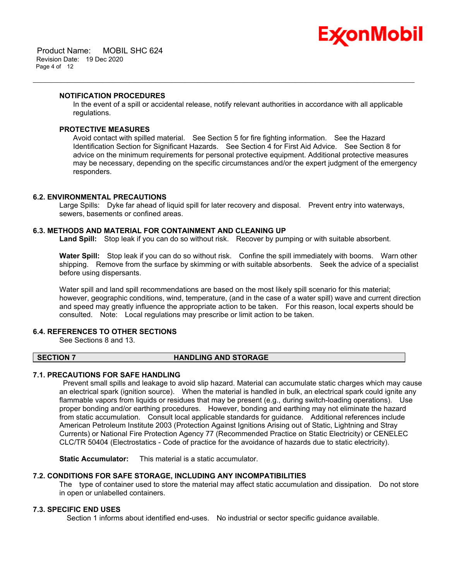

## **NOTIFICATION PROCEDURES**

In the event of a spill or accidental release, notify relevant authorities in accordance with all applicable regulations.

\_\_\_\_\_\_\_\_\_\_\_\_\_\_\_\_\_\_\_\_\_\_\_\_\_\_\_\_\_\_\_\_\_\_\_\_\_\_\_\_\_\_\_\_\_\_\_\_\_\_\_\_\_\_\_\_\_\_\_\_\_\_\_\_\_\_\_\_\_\_\_\_\_\_\_\_\_\_\_\_\_\_\_\_\_\_\_\_\_\_\_\_\_\_\_\_\_\_\_\_\_\_\_\_\_\_\_\_\_\_\_\_\_\_\_\_\_

# **PROTECTIVE MEASURES**

Avoid contact with spilled material. See Section 5 for fire fighting information. See the Hazard Identification Section for Significant Hazards. See Section 4 for First Aid Advice. See Section 8 for advice on the minimum requirements for personal protective equipment. Additional protective measures may be necessary, depending on the specific circumstances and/or the expert judgment of the emergency responders.

# **6.2. ENVIRONMENTAL PRECAUTIONS**

Large Spills: Dyke far ahead of liquid spill for later recovery and disposal. Prevent entry into waterways, sewers, basements or confined areas.

## **6.3. METHODS AND MATERIAL FOR CONTAINMENT AND CLEANING UP**

**Land Spill:** Stop leak if you can do so without risk. Recover by pumping or with suitable absorbent.

**Water Spill:** Stop leak if you can do so without risk. Confine the spill immediately with booms. Warn other shipping. Remove from the surface by skimming or with suitable absorbents. Seek the advice of a specialist before using dispersants.

Water spill and land spill recommendations are based on the most likely spill scenario for this material; however, geographic conditions, wind, temperature, (and in the case of a water spill) wave and current direction and speed may greatly influence the appropriate action to be taken. For this reason, local experts should be consulted. Note: Local regulations may prescribe or limit action to be taken.

# **6.4. REFERENCES TO OTHER SECTIONS**

See Sections 8 and 13.

# **SECTION 7 HANDLING AND STORAGE**

# **7.1. PRECAUTIONS FOR SAFE HANDLING**

 Prevent small spills and leakage to avoid slip hazard. Material can accumulate static charges which may cause an electrical spark (ignition source). When the material is handled in bulk, an electrical spark could ignite any flammable vapors from liquids or residues that may be present (e.g., during switch-loading operations). Use proper bonding and/or earthing procedures. However, bonding and earthing may not eliminate the hazard from static accumulation. Consult local applicable standards for guidance. Additional references include American Petroleum Institute 2003 (Protection Against Ignitions Arising out of Static, Lightning and Stray Currents) or National Fire Protection Agency 77 (Recommended Practice on Static Electricity) or CENELEC CLC/TR 50404 (Electrostatics - Code of practice for the avoidance of hazards due to static electricity).

**Static Accumulator:** This material is a static accumulator.

# **7.2. CONDITIONS FOR SAFE STORAGE, INCLUDING ANY INCOMPATIBILITIES**

The type of container used to store the material may affect static accumulation and dissipation. Do not store in open or unlabelled containers.

# **7.3. SPECIFIC END USES**

Section 1 informs about identified end-uses. No industrial or sector specific guidance available.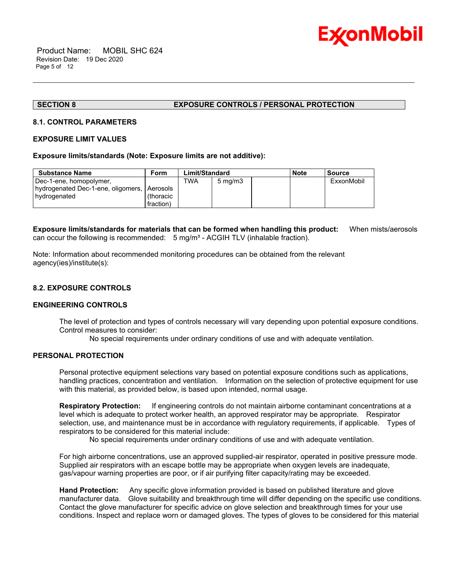

# **SECTION 8 EXPOSURE CONTROLS / PERSONAL PROTECTION**

\_\_\_\_\_\_\_\_\_\_\_\_\_\_\_\_\_\_\_\_\_\_\_\_\_\_\_\_\_\_\_\_\_\_\_\_\_\_\_\_\_\_\_\_\_\_\_\_\_\_\_\_\_\_\_\_\_\_\_\_\_\_\_\_\_\_\_\_\_\_\_\_\_\_\_\_\_\_\_\_\_\_\_\_\_\_\_\_\_\_\_\_\_\_\_\_\_\_\_\_\_\_\_\_\_\_\_\_\_\_\_\_\_\_\_\_\_

## **8.1. CONTROL PARAMETERS**

# **EXPOSURE LIMIT VALUES**

#### **Exposure limits/standards (Note: Exposure limits are not additive):**

| Substance Name                                | Form      | Limit/Standard |                  | <b>Note</b> | Source     |
|-----------------------------------------------|-----------|----------------|------------------|-------------|------------|
| Dec-1-ene, homopolymer,                       |           | TWA            | $5 \text{ mg/m}$ |             | ExxonMobil |
| hydrogenated Dec-1-ene, oligomers,   Aerosols |           |                |                  |             |            |
| l hydrogenated                                | (thoracic |                |                  |             |            |
|                                               | fraction) |                |                  |             |            |

**Exposure limits/standards for materials that can be formed when handling this product:** When mists/aerosols can occur the following is recommended:  $5 \text{ mg/m}^3$  - ACGIH TLV (inhalable fraction).

Note: Information about recommended monitoring procedures can be obtained from the relevant agency(ies)/institute(s):

# **8.2. EXPOSURE CONTROLS**

#### **ENGINEERING CONTROLS**

The level of protection and types of controls necessary will vary depending upon potential exposure conditions. Control measures to consider:

No special requirements under ordinary conditions of use and with adequate ventilation.

# **PERSONAL PROTECTION**

Personal protective equipment selections vary based on potential exposure conditions such as applications, handling practices, concentration and ventilation. Information on the selection of protective equipment for use with this material, as provided below, is based upon intended, normal usage.

**Respiratory Protection:** If engineering controls do not maintain airborne contaminant concentrations at a level which is adequate to protect worker health, an approved respirator may be appropriate. Respirator selection, use, and maintenance must be in accordance with regulatory requirements, if applicable. Types of respirators to be considered for this material include:

No special requirements under ordinary conditions of use and with adequate ventilation.

For high airborne concentrations, use an approved supplied-air respirator, operated in positive pressure mode. Supplied air respirators with an escape bottle may be appropriate when oxygen levels are inadequate, gas/vapour warning properties are poor, or if air purifying filter capacity/rating may be exceeded.

**Hand Protection:** Any specific glove information provided is based on published literature and glove manufacturer data. Glove suitability and breakthrough time will differ depending on the specific use conditions. Contact the glove manufacturer for specific advice on glove selection and breakthrough times for your use conditions. Inspect and replace worn or damaged gloves. The types of gloves to be considered for this material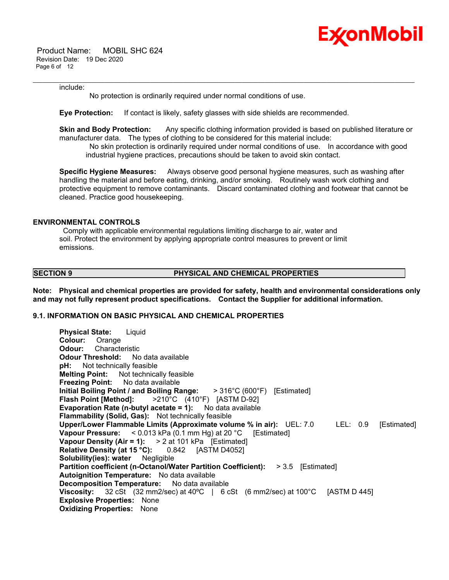

 Product Name: MOBIL SHC 624 Revision Date: 19 Dec 2020 Page 6 of 12

#### include:

No protection is ordinarily required under normal conditions of use.

**Eye Protection:** If contact is likely, safety glasses with side shields are recommended.

**Skin and Body Protection:** Any specific clothing information provided is based on published literature or manufacturer data. The types of clothing to be considered for this material include:

\_\_\_\_\_\_\_\_\_\_\_\_\_\_\_\_\_\_\_\_\_\_\_\_\_\_\_\_\_\_\_\_\_\_\_\_\_\_\_\_\_\_\_\_\_\_\_\_\_\_\_\_\_\_\_\_\_\_\_\_\_\_\_\_\_\_\_\_\_\_\_\_\_\_\_\_\_\_\_\_\_\_\_\_\_\_\_\_\_\_\_\_\_\_\_\_\_\_\_\_\_\_\_\_\_\_\_\_\_\_\_\_\_\_\_\_\_

 No skin protection is ordinarily required under normal conditions of use. In accordance with good industrial hygiene practices, precautions should be taken to avoid skin contact.

**Specific Hygiene Measures:** Always observe good personal hygiene measures, such as washing after handling the material and before eating, drinking, and/or smoking. Routinely wash work clothing and protective equipment to remove contaminants. Discard contaminated clothing and footwear that cannot be cleaned. Practice good housekeeping.

# **ENVIRONMENTAL CONTROLS**

 Comply with applicable environmental regulations limiting discharge to air, water and soil. Protect the environment by applying appropriate control measures to prevent or limit emissions.

#### **SECTION 9 PHYSICAL AND CHEMICAL PROPERTIES**

**Note: Physical and chemical properties are provided for safety, health and environmental considerations only and may not fully represent product specifications. Contact the Supplier for additional information.**

# **9.1. INFORMATION ON BASIC PHYSICAL AND CHEMICAL PROPERTIES**

**Physical State:** Liquid **Colour:** Orange **Odour:** Characteristic **Odour Threshold:** No data available **pH:** Not technically feasible **Melting Point:** Not technically feasible **Freezing Point:** No data available **Initial Boiling Point / and Boiling Range:** > 316°C (600°F) [Estimated] **Flash Point [Method]:** >210°C (410°F) [ASTM D-92] **Evaporation Rate (n-butyl acetate = 1):** No data available **Flammability (Solid, Gas):** Not technically feasible **Upper/Lower Flammable Limits (Approximate volume % in air):** UEL: 7.0 LEL: 0.9 [Estimated] **Vapour Pressure:** < 0.013 kPa (0.1 mm Hg) at 20 °C [Estimated] **Vapour Density (Air = 1):** > 2 at 101 kPa [Estimated] **Relative Density (at 15 °C):** 0.842 [ASTM D4052] **Solubility(ies): water** Negligible **Partition coefficient (n-Octanol/Water Partition Coefficient):** > 3.5 [Estimated] **Autoignition Temperature:** No data available **Decomposition Temperature:** No data available **Viscosity:** 32 cSt (32 mm2/sec) at 40ºC | 6 cSt (6 mm2/sec) at 100°C [ASTM D 445] **Explosive Properties:** None **Oxidizing Properties:** None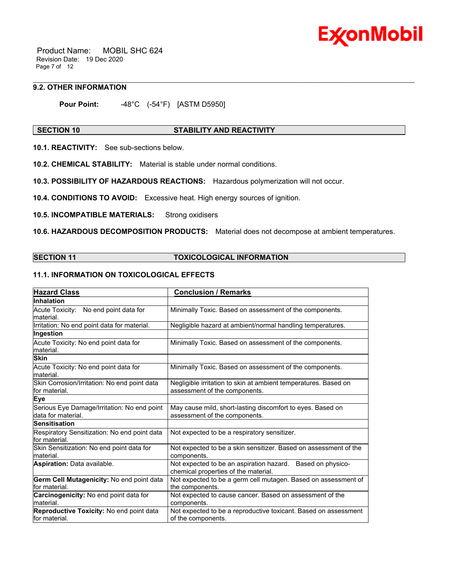

 Product Name: MOBIL SHC 624 Revision Date: 19 Dec 2020 Page 7 of 12

# **9.2. OTHER INFORMATION**

**Pour Point:** -48°C (-54°F) [ASTM D5950]

# **SECTION 10 STABILITY AND REACTIVITY**

\_\_\_\_\_\_\_\_\_\_\_\_\_\_\_\_\_\_\_\_\_\_\_\_\_\_\_\_\_\_\_\_\_\_\_\_\_\_\_\_\_\_\_\_\_\_\_\_\_\_\_\_\_\_\_\_\_\_\_\_\_\_\_\_\_\_\_\_\_\_\_\_\_\_\_\_\_\_\_\_\_\_\_\_\_\_\_\_\_\_\_\_\_\_\_\_\_\_\_\_\_\_\_\_\_\_\_\_\_\_\_\_\_\_\_\_\_

**10.1. REACTIVITY:** See sub-sections below.

**10.2. CHEMICAL STABILITY:** Material is stable under normal conditions.

**10.3. POSSIBILITY OF HAZARDOUS REACTIONS:** Hazardous polymerization will not occur.

**10.4. CONDITIONS TO AVOID:** Excessive heat. High energy sources of ignition.

**10.5. INCOMPATIBLE MATERIALS:** Strong oxidisers

**10.6. HAZARDOUS DECOMPOSITION PRODUCTS:** Material does not decompose at ambient temperatures.

# **SECTION 11 TOXICOLOGICAL INFORMATION**

# **11.1. INFORMATION ON TOXICOLOGICAL EFFECTS**

| <b>Hazard Class</b>                                               | <b>Conclusion / Remarks</b>                                                                        |
|-------------------------------------------------------------------|----------------------------------------------------------------------------------------------------|
| Inhalation                                                        |                                                                                                    |
| Acute Toxicity: No end point data for<br>lmaterial.               | Minimally Toxic. Based on assessment of the components.                                            |
| Irritation: No end point data for material.                       | Negligible hazard at ambient/normal handling temperatures.                                         |
| Ingestion                                                         |                                                                                                    |
| Acute Toxicity: No end point data for<br>material.                | Minimally Toxic. Based on assessment of the components.                                            |
| <b>Skin</b>                                                       |                                                                                                    |
| Acute Toxicity: No end point data for<br>material.                | Minimally Toxic. Based on assessment of the components.                                            |
| Skin Corrosion/Irritation: No end point data<br>for material.     | Negligible irritation to skin at ambient temperatures. Based on<br>assessment of the components.   |
| <b>Eye</b>                                                        |                                                                                                    |
| Serious Eye Damage/Irritation: No end point<br>data for material. | May cause mild, short-lasting discomfort to eyes. Based on<br>assessment of the components.        |
| <b>Sensitisation</b>                                              |                                                                                                    |
| Respiratory Sensitization: No end point data<br>for material.     | Not expected to be a respiratory sensitizer.                                                       |
| Skin Sensitization: No end point data for<br>lmaterial.           | Not expected to be a skin sensitizer. Based on assessment of the<br>components.                    |
| Aspiration: Data available.                                       | Not expected to be an aspiration hazard. Based on physico-<br>chemical properties of the material. |
| Germ Cell Mutagenicity: No end point data<br>lfor material.       | Not expected to be a germ cell mutagen. Based on assessment of<br>the components.                  |
| Carcinogenicity: No end point data for<br>material.               | Not expected to cause cancer. Based on assessment of the<br>components.                            |
| Reproductive Toxicity: No end point data<br>for material.         | Not expected to be a reproductive toxicant. Based on assessment<br>of the components.              |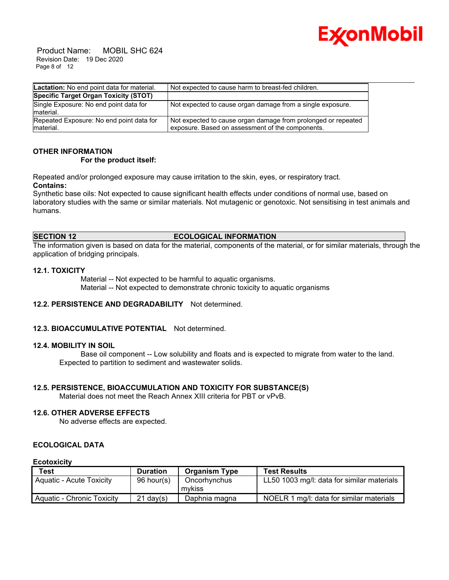

 Product Name: MOBIL SHC 624 Revision Date: 19 Dec 2020 Page 8 of 12

| Lactation: No end point data for material.            | Not expected to cause harm to breast-fed children.                                                                |
|-------------------------------------------------------|-------------------------------------------------------------------------------------------------------------------|
| Specific Target Organ Toxicity (STOT)                 |                                                                                                                   |
| Single Exposure: No end point data for<br>material.   | Not expected to cause organ damage from a single exposure.                                                        |
| Repeated Exposure: No end point data for<br>material. | Not expected to cause organ damage from prolonged or repeated<br>exposure. Based on assessment of the components. |

# **OTHER INFORMATION**

## **For the product itself:**

Repeated and/or prolonged exposure may cause irritation to the skin, eyes, or respiratory tract. **Contains:**

Synthetic base oils: Not expected to cause significant health effects under conditions of normal use, based on laboratory studies with the same or similar materials. Not mutagenic or genotoxic. Not sensitising in test animals and humans.

# **SECTION 12 ECOLOGICAL INFORMATION**

The information given is based on data for the material, components of the material, or for similar materials, through the application of bridging principals.

## **12.1. TOXICITY**

 Material -- Not expected to be harmful to aquatic organisms. Material -- Not expected to demonstrate chronic toxicity to aquatic organisms

# **12.2. PERSISTENCE AND DEGRADABILITY** Not determined.

# **12.3. BIOACCUMULATIVE POTENTIAL** Not determined.

#### **12.4. MOBILITY IN SOIL**

 Base oil component -- Low solubility and floats and is expected to migrate from water to the land. Expected to partition to sediment and wastewater solids.

# **12.5. PERSISTENCE, BIOACCUMULATION AND TOXICITY FOR SUBSTANCE(S)**

Material does not meet the Reach Annex XIII criteria for PBT or vPvB.

# **12.6. OTHER ADVERSE EFFECTS**

No adverse effects are expected.

# **ECOLOGICAL DATA**

#### **Ecotoxicity**

| Test                            | <b>Duration</b> | <b>Organism Type</b>   | <b>Test Results</b>                        |
|---------------------------------|-----------------|------------------------|--------------------------------------------|
| <b>Aquatic - Acute Toxicity</b> | $96$ hour(s)    | Oncorhynchus<br>mvkiss | LL50 1003 mg/l: data for similar materials |
| Aquatic - Chronic Toxicity      | $21$ dav(s)     | Daphnia magna          | NOELR 1 mg/l: data for similar materials   |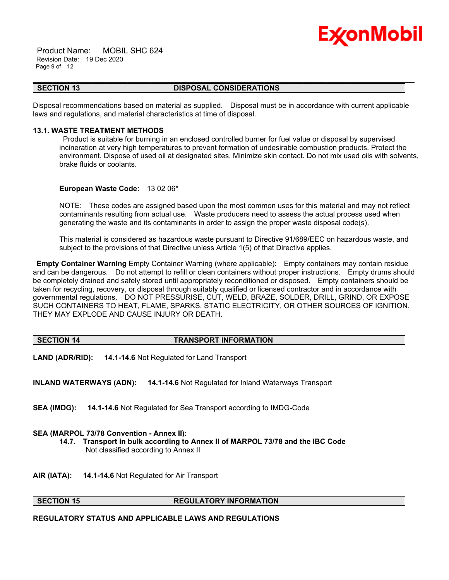

 Product Name: MOBIL SHC 624 Revision Date: 19 Dec 2020 Page 9 of 12

#### \_\_\_\_\_\_\_\_\_\_\_\_\_\_\_\_\_\_\_\_\_\_\_\_\_\_\_\_\_\_\_\_\_\_\_\_\_\_\_\_\_\_\_\_\_\_\_\_\_\_\_\_\_\_\_\_\_\_\_\_\_\_\_\_\_\_\_\_\_\_\_\_\_\_\_\_\_\_\_\_\_\_\_\_\_\_\_\_\_\_\_\_\_\_\_\_\_\_\_\_\_\_\_\_\_\_\_\_\_\_\_\_\_\_\_\_\_ **SECTION 13 DISPOSAL CONSIDERATIONS**

Disposal recommendations based on material as supplied. Disposal must be in accordance with current applicable laws and regulations, and material characteristics at time of disposal.

## **13.1. WASTE TREATMENT METHODS**

 Product is suitable for burning in an enclosed controlled burner for fuel value or disposal by supervised incineration at very high temperatures to prevent formation of undesirable combustion products. Protect the environment. Dispose of used oil at designated sites. Minimize skin contact. Do not mix used oils with solvents, brake fluids or coolants.

#### **European Waste Code:** 13 02 06\*

NOTE: These codes are assigned based upon the most common uses for this material and may not reflect contaminants resulting from actual use. Waste producers need to assess the actual process used when generating the waste and its contaminants in order to assign the proper waste disposal code(s).

This material is considered as hazardous waste pursuant to Directive 91/689/EEC on hazardous waste, and subject to the provisions of that Directive unless Article 1(5) of that Directive applies.

**Empty Container Warning** Empty Container Warning (where applicable): Empty containers may contain residue and can be dangerous. Do not attempt to refill or clean containers without proper instructions. Empty drums should be completely drained and safely stored until appropriately reconditioned or disposed. Empty containers should be taken for recycling, recovery, or disposal through suitably qualified or licensed contractor and in accordance with governmental regulations. DO NOT PRESSURISE, CUT, WELD, BRAZE, SOLDER, DRILL, GRIND, OR EXPOSE SUCH CONTAINERS TO HEAT, FLAME, SPARKS, STATIC ELECTRICITY, OR OTHER SOURCES OF IGNITION. THEY MAY EXPLODE AND CAUSE INJURY OR DEATH.

#### **SECTION 14 TRANSPORT INFORMATION**

**LAND (ADR/RID): 14.1-14.6** Not Regulated for Land Transport

**INLAND WATERWAYS (ADN): 14.1-14.6** Not Regulated for Inland Waterways Transport

**SEA (IMDG): 14.1-14.6** Not Regulated for Sea Transport according to IMDG-Code

#### **SEA (MARPOL 73/78 Convention - Annex II):**

- **14.7. Transport in bulk according to Annex II of MARPOL 73/78 and the IBC Code** Not classified according to Annex II
- **AIR (IATA): 14.1-14.6** Not Regulated for Air Transport

#### **SECTION 15 REGULATORY INFORMATION**

**REGULATORY STATUS AND APPLICABLE LAWS AND REGULATIONS**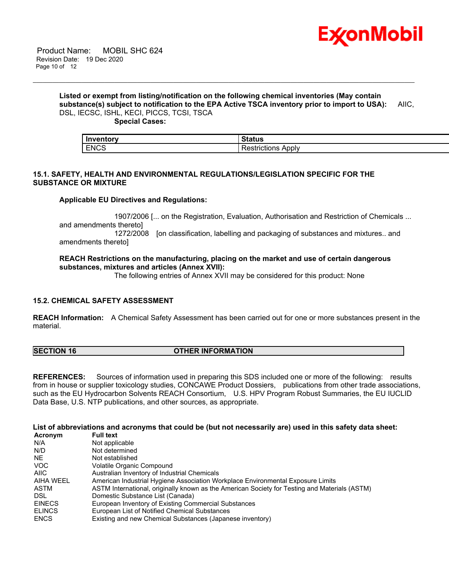

# **Listed or exempt from listing/notification on the following chemical inventories (May contain substance(s) subject to notification to the EPA Active TSCA inventory prior to import to USA):** AIIC, DSL, IECSC, ISHL, KECI, PICCS, TCSI, TSCA

\_\_\_\_\_\_\_\_\_\_\_\_\_\_\_\_\_\_\_\_\_\_\_\_\_\_\_\_\_\_\_\_\_\_\_\_\_\_\_\_\_\_\_\_\_\_\_\_\_\_\_\_\_\_\_\_\_\_\_\_\_\_\_\_\_\_\_\_\_\_\_\_\_\_\_\_\_\_\_\_\_\_\_\_\_\_\_\_\_\_\_\_\_\_\_\_\_\_\_\_\_\_\_\_\_\_\_\_\_\_\_\_\_\_\_\_\_

 **Special Cases:**

| ------  |                       |
|---------|-----------------------|
| - Ir    |                       |
|         | aws                   |
| $FNC^c$ | Apply                 |
| w       | .                     |
| --      | <b><i>LIGHONS</i></b> |

# **15.1. SAFETY, HEALTH AND ENVIRONMENTAL REGULATIONS/LEGISLATION SPECIFIC FOR THE SUBSTANCE OR MIXTURE**

# **Applicable EU Directives and Regulations:**

 1907/2006 [... on the Registration, Evaluation, Authorisation and Restriction of Chemicals ... and amendments thereto]

 1272/2008 [on classification, labelling and packaging of substances and mixtures.. and amendments thereto]

# **REACH Restrictions on the manufacturing, placing on the market and use of certain dangerous substances, mixtures and articles (Annex XVII):**

The following entries of Annex XVII may be considered for this product: None

# **15.2. CHEMICAL SAFETY ASSESSMENT**

**REACH Information:** A Chemical Safety Assessment has been carried out for one or more substances present in the material.

# **SECTION 16 OTHER INFORMATION**

**REFERENCES:** Sources of information used in preparing this SDS included one or more of the following: results from in house or supplier toxicology studies, CONCAWE Product Dossiers, publications from other trade associations, such as the EU Hydrocarbon Solvents REACH Consortium, U.S. HPV Program Robust Summaries, the EU IUCLID Data Base, U.S. NTP publications, and other sources, as appropriate.

# **List of abbreviations and acronyms that could be (but not necessarily are) used in this safety data sheet:**

| Acronym       | <b>Full text</b>                                                                              |
|---------------|-----------------------------------------------------------------------------------------------|
| N/A           | Not applicable                                                                                |
| N/D           | Not determined                                                                                |
| NE.           | Not established                                                                               |
| <b>VOC</b>    | Volatile Organic Compound                                                                     |
| AIIC          | Australian Inventory of Industrial Chemicals                                                  |
| AIHA WEEL     | American Industrial Hygiene Association Workplace Environmental Exposure Limits               |
| ASTM          | ASTM International, originally known as the American Society for Testing and Materials (ASTM) |
| DSL.          | Domestic Substance List (Canada)                                                              |
| <b>EINECS</b> | European Inventory of Existing Commercial Substances                                          |
| <b>ELINCS</b> | European List of Notified Chemical Substances                                                 |
| <b>ENCS</b>   | Existing and new Chemical Substances (Japanese inventory)                                     |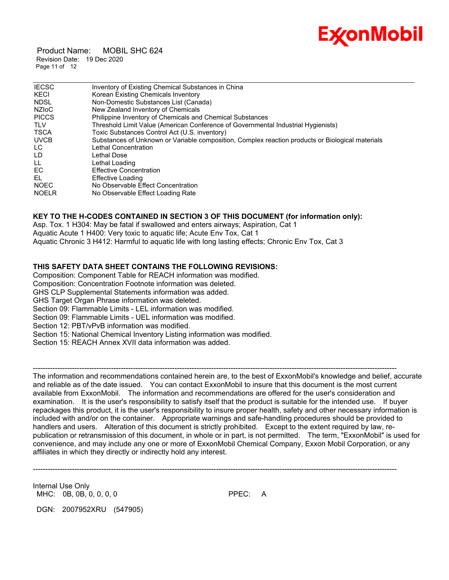

 Product Name: MOBIL SHC 624 Revision Date: 19 Dec 2020 Page 11 of 12

| <b>IECSC</b>          | Inventory of Existing Chemical Substances in China                                               |
|-----------------------|--------------------------------------------------------------------------------------------------|
| KECI                  | Korean Existing Chemicals Inventory                                                              |
| <b>NDSL</b>           | Non-Domestic Substances List (Canada)                                                            |
| <b>NZIOC</b>          | New Zealand Inventory of Chemicals                                                               |
| <b>PICCS</b>          | Philippine Inventory of Chemicals and Chemical Substances                                        |
| <b>TLV</b>            | Threshold Limit Value (American Conference of Governmental Industrial Hygienists)                |
| <b>TSCA</b>           | Toxic Substances Control Act (U.S. inventory)                                                    |
| <b>UVCB</b>           | Substances of Unknown or Variable composition, Complex reaction products or Biological materials |
| LC.                   | Lethal Concentration                                                                             |
| LD.<br>Lethal Dose    |                                                                                                  |
| LL.<br>Lethal Loading |                                                                                                  |
| EC                    | <b>Effective Concentration</b>                                                                   |
| EL                    | <b>Effective Loading</b>                                                                         |
| <b>NOEC</b>           | No Observable Effect Concentration                                                               |
| <b>NOELR</b>          | No Observable Effect Loading Rate                                                                |

# **KEY TO THE H-CODES CONTAINED IN SECTION 3 OF THIS DOCUMENT (for information only):**

Asp. Tox. 1 H304: May be fatal if swallowed and enters airways; Aspiration, Cat 1 Aquatic Acute 1 H400: Very toxic to aquatic life; Acute Env Tox, Cat 1 Aquatic Chronic 3 H412: Harmful to aquatic life with long lasting effects; Chronic Env Tox, Cat 3

# **THIS SAFETY DATA SHEET CONTAINS THE FOLLOWING REVISIONS:**

Composition: Component Table for REACH information was modified.

Composition: Concentration Footnote information was deleted.

GHS CLP Supplemental Statements information was added.

GHS Target Organ Phrase information was deleted.

Section 09: Flammable Limits - LEL information was modified.

Section 09: Flammable Limits - UEL information was modified.

Section 12: PBT/vPvB information was modified.

Section 15: National Chemical Inventory Listing information was modified.

Section 15: REACH Annex XVII data information was added.

The information and recommendations contained herein are, to the best of ExxonMobil's knowledge and belief, accurate and reliable as of the date issued. You can contact ExxonMobil to insure that this document is the most current available from ExxonMobil. The information and recommendations are offered for the user's consideration and examination. It is the user's responsibility to satisfy itself that the product is suitable for the intended use. If buyer repackages this product, it is the user's responsibility to insure proper health, safety and other necessary information is included with and/or on the container. Appropriate warnings and safe-handling procedures should be provided to handlers and users. Alteration of this document is strictly prohibited. Except to the extent required by law, republication or retransmission of this document, in whole or in part, is not permitted. The term, "ExxonMobil" is used for convenience, and may include any one or more of ExxonMobil Chemical Company, Exxon Mobil Corporation, or any affiliates in which they directly or indirectly hold any interest.

-----------------------------------------------------------------------------------------------------------------------------------------------------

-----------------------------------------------------------------------------------------------------------------------------------------------------

Internal Use Only MHC: 0B, 0B, 0, 0, 0, 0 **PPEC: A** 

DGN: 2007952XRU (547905)